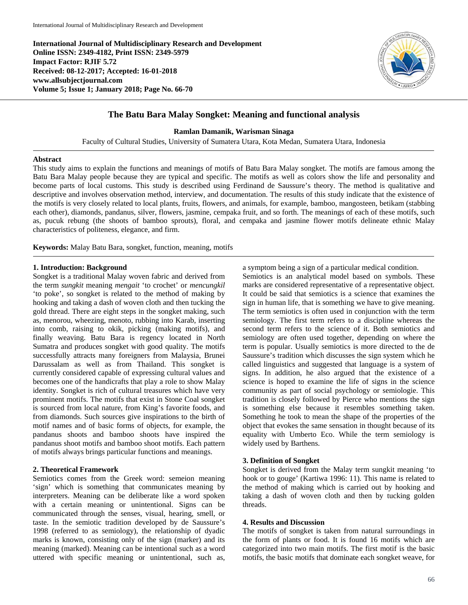**International Journal of Multidisciplinary Research and Development Online ISSN: 2349-4182, Print ISSN: 2349-5979 Impact Factor: RJIF 5.72 Received: 08-12-2017; Accepted: 16-01-2018 www.allsubjectjournal.com Volume 5; Issue 1; January 2018; Page No. 66-70**



# **The Batu Bara Malay Songket: Meaning and functional analysis**

**Ramlan Damanik, Warisman Sinaga**

Faculty of Cultural Studies, University of Sumatera Utara, Kota Medan, Sumatera Utara, Indonesia

## **Abstract**

This study aims to explain the functions and meanings of motifs of Batu Bara Malay songket. The motifs are famous among the Batu Bara Malay people because they are typical and specific. The motifs as well as colors show the life and personality and become parts of local customs. This study is described using Ferdinand de Saussure's theory. The method is qualitative and descriptive and involves observation method, interview, and documentation. The results of this study indicate that the existence of the motifs is very closely related to local plants, fruits, flowers, and animals, for example, bamboo, mangosteen, betikam (stabbing each other), diamonds, pandanus, silver, flowers, jasmine, cempaka fruit, and so forth. The meanings of each of these motifs, such as, pucuk rebung (the shoots of bamboo sprouts), floral, and cempaka and jasmine flower motifs delineate ethnic Malay characteristics of politeness, elegance, and firm.

**Keywords:** Malay Batu Bara, songket, function, meaning, motifs

### **1. Introduction: Background**

Songket is a traditional Malay woven fabric and derived from the term *sungkit* meaning *mengait* 'to crochet' or *mencungkil* 'to poke', so songket is related to the method of making by hooking and taking a dash of woven cloth and then tucking the gold thread. There are eight steps in the songket making, such as, menorou, wheezing, menoto, rubbing into Karab, inserting into comb, raising to okik, picking (making motifs), and finally weaving. Batu Bara is regency located in North Sumatra and produces songket with good quality. The motifs successfully attracts many foreigners from Malaysia, Brunei Darussalam as well as from Thailand. This songket is currently considered capable of expressing cultural values and becomes one of the handicrafts that play a role to show Malay identity. Songket is rich of cultural treasures which have very prominent motifs. The motifs that exist in Stone Coal songket is sourced from local nature, from King's favorite foods, and from diamonds. Such sources give inspirations to the birth of motif names and of basic forms of objects, for example, the pandanus shoots and bamboo shoots have inspired the pandanus shoot motifs and bamboo shoot motifs. Each pattern of motifs always brings particular functions and meanings.

## **2. Theoretical Framework**

Semiotics comes from the Greek word: semeion meaning 'sign' which is something that communicates meaning by interpreters. Meaning can be deliberate like a word spoken with a certain meaning or unintentional. Signs can be communicated through the senses, visual, hearing, smell, or taste. In the semiotic tradition developed by de Saussure's 1998 (referred to as semiology), the relationship of dyadic marks is known, consisting only of the sign (marker) and its meaning (marked). Meaning can be intentional such as a word uttered with specific meaning or unintentional, such as, a symptom being a sign of a particular medical condition.

Semiotics is an analytical model based on symbols. These marks are considered representative of a representative object. It could be said that semiotics is a science that examines the sign in human life, that is something we have to give meaning. The term semiotics is often used in conjunction with the term semiology. The first term refers to a discipline whereas the second term refers to the science of it. Both semiotics and semiology are often used together, depending on where the term is popular. Usually semiotics is more directed to the de Saussure's tradition which discusses the sign system which he called linguistics and suggested that language is a system of signs. In addition, he also argued that the existence of a science is hoped to examine the life of signs in the science community as part of social psychology or semiologie. This tradition is closely followed by Pierce who mentions the sign is something else because it resembles something taken. Something he took to mean the shape of the properties of the object that evokes the same sensation in thought because of its equality with Umberto Eco. While the term semiology is widely used by Barthens.

### **3. Definition of Songket**

Songket is derived from the Malay term sungkit meaning 'to hook or to gouge' (Kartiwa 1996: 11). This name is related to the method of making which is carried out by hooking and taking a dash of woven cloth and then by tucking golden threads.

### **4. Results and Discussion**

The motifs of songket is taken from natural surroundings in the form of plants or food. It is found 16 motifs which are categorized into two main motifs. The first motif is the basic motifs, the basic motifs that dominate each songket weave, for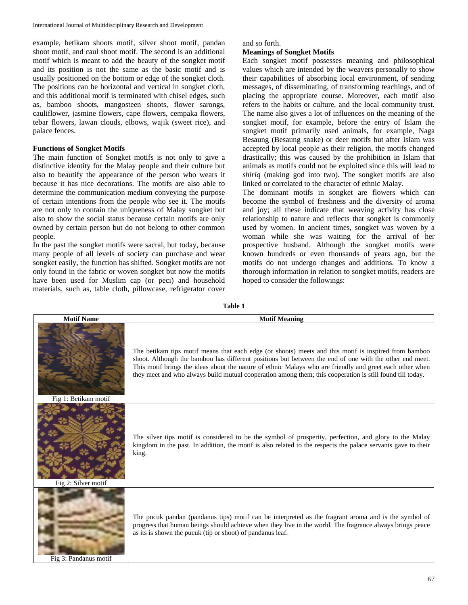example, betikam shoots motif, silver shoot motif, pandan shoot motif, and caul shoot motif. The second is an additional motif which is meant to add the beauty of the songket motif and its position is not the same as the basic motif and is usually positioned on the bottom or edge of the songket cloth. The positions can be horizontal and vertical in songket cloth, and this additional motif is terminated with chisel edges, such as, bamboo shoots, mangosteen shoots, flower sarongs, cauliflower, jasmine flowers, cape flowers, cempaka flowers, tebar flowers, lawan clouds, elbows, wajik (sweet rice), and palace fences.

## **Functions of Songket Motifs**

The main function of Songket motifs is not only to give a distinctive identity for the Malay people and their culture but also to beautify the appearance of the person who wears it because it has nice decorations. The motifs are also able to determine the communication medium conveying the purpose of certain intentions from the people who see it. The motifs are not only to contain the uniqueness of Malay songket but also to show the social status because certain motifs are only owned by certain person but do not belong to other common people.

In the past the songket motifs were sacral, but today, because many people of all levels of society can purchase and wear songket easily, the function has shifted. Songket motifs are not only found in the fabric or woven songket but now the motifs have been used for Muslim cap (or peci) and household materials, such as, table cloth, pillowcase, refrigerator cover

# and so forth.

## **Meanings of Songket Motifs**

Each songket motif possesses meaning and philosophical values which are intended by the weavers personally to show their capabilities of absorbing local environment, of sending messages, of disseminating, of transforming teachings, and of placing the appropriate course. Moreover, each motif also refers to the habits or culture, and the local community trust. The name also gives a lot of influences on the meaning of the songket motif, for example, before the entry of Islam the songket motif primarily used animals, for example, Naga Besaung (Besaung snake) or deer motifs but after Islam was accepted by local people as their religion, the motifs changed drastically; this was caused by the prohibition in Islam that animals as motifs could not be exploited since this will lead to *shiriq* (making god into two). The songket motifs are also linked or correlated to the character of ethnic Malay.

The dominant motifs in songket are flowers which can become the symbol of freshness and the diversity of aroma and joy; all these indicate that weaving activity has close relationship to nature and reflects that songket is commonly used by women. In ancient times, songket was woven by a woman while she was waiting for the arrival of her prospective husband. Although the songket motifs were known hundreds or even thousands of years ago, but the motifs do not undergo changes and additions. To know a thorough information in relation to songket motifs, readers are hoped to consider the followings:

| <b>Motif Name</b>     | <b>Motif Meaning</b>                                                                                                                                                                                                                                                                                                                                                                                                                    |
|-----------------------|-----------------------------------------------------------------------------------------------------------------------------------------------------------------------------------------------------------------------------------------------------------------------------------------------------------------------------------------------------------------------------------------------------------------------------------------|
| Fig 1: Betikam motif  | The betikam tips motif means that each edge (or shoots) meets and this motif is inspired from bamboo<br>shoot. Although the bamboo has different positions but between the end of one with the other end meet.<br>This motif brings the ideas about the nature of ethnic Malays who are friendly and greet each other when<br>they meet and who always build mutual cooperation among them; this cooperation is still found till today. |
| Fig 2: Silver motif   | The silver tips motif is considered to be the symbol of prosperity, perfection, and glory to the Malay<br>kingdom in the past. In addition, the motif is also related to the respects the palace servants gave to their<br>king.                                                                                                                                                                                                        |
| Fig 3: Pandanus motif | The pucuk pandan (pandanus tips) motif can be interpreted as the fragrant aroma and is the symbol of<br>progress that human beings should achieve when they live in the world. The fragrance always brings peace<br>as its is shown the pucuk (tip or shoot) of pandanus leaf.                                                                                                                                                          |

**Table 1**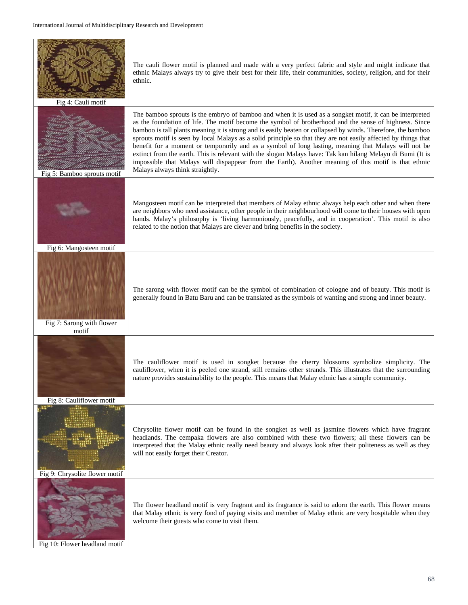| Fig 4: Cauli motif                 | The cauli flower motif is planned and made with a very perfect fabric and style and might indicate that<br>ethnic Malays always try to give their best for their life, their communities, society, religion, and for their<br>ethnic.                                                                                                                                                                                                                                                                                                                                                                                                                                                                                                                                                                                 |
|------------------------------------|-----------------------------------------------------------------------------------------------------------------------------------------------------------------------------------------------------------------------------------------------------------------------------------------------------------------------------------------------------------------------------------------------------------------------------------------------------------------------------------------------------------------------------------------------------------------------------------------------------------------------------------------------------------------------------------------------------------------------------------------------------------------------------------------------------------------------|
| Fig 5: Bamboo sprouts motif        | The bamboo sprouts is the embryo of bamboo and when it is used as a songket motif, it can be interpreted<br>as the foundation of life. The motif become the symbol of brotherhood and the sense of highness. Since<br>bamboo is tall plants meaning it is strong and is easily beaten or collapsed by winds. Therefore, the bamboo<br>sprouts motif is seen by local Malays as a solid principle so that they are not easily affected by things that<br>benefit for a moment or temporarily and as a symbol of long lasting, meaning that Malays will not be<br>extinct from the earth. This is relevant with the slogan Malays have: Tak kan hilang Melayu di Bumi (It is<br>impossible that Malays will dispappear from the Earth). Another meaning of this motif is that ethnic<br>Malays always think straightly. |
| Fig 6: Mangosteen motif            | Mangosteen motif can be interpreted that members of Malay ethnic always help each other and when there<br>are neighbors who need assistance, other people in their neighbourhood will come to their houses with open<br>hands. Malay's philosophy is 'living harmoniously, peacefully, and in cooperation'. This motif is also<br>related to the notion that Malays are clever and bring benefits in the society.                                                                                                                                                                                                                                                                                                                                                                                                     |
| Fig 7: Sarong with flower<br>motif | The sarong with flower motif can be the symbol of combination of cologne and of beauty. This motif is<br>generally found in Batu Baru and can be translated as the symbols of wanting and strong and inner beauty.                                                                                                                                                                                                                                                                                                                                                                                                                                                                                                                                                                                                    |
| Fig 8: Cauliflower motif           | The cauliflower motif is used in songket because the cherry blossoms symbolize simplicity. The<br>cauliflower, when it is peeled one strand, still remains other strands. This illustrates that the surrounding<br>nature provides sustainability to the people. This means that Malay ethnic has a simple community.                                                                                                                                                                                                                                                                                                                                                                                                                                                                                                 |
| Fig 9: Chrysolite flower motif     | Chrysolite flower motif can be found in the songket as well as jasmine flowers which have fragrant<br>headlands. The cempaka flowers are also combined with these two flowers; all these flowers can be<br>interpreted that the Malay ethnic really need beauty and always look after their politeness as well as they<br>will not easily forget their Creator.                                                                                                                                                                                                                                                                                                                                                                                                                                                       |
| Fig 10: Flower headland motif      | The flower headland motif is very fragrant and its fragrance is said to adorn the earth. This flower means<br>that Malay ethnic is very fond of paying visits and member of Malay ethnic are very hospitable when they<br>welcome their guests who come to visit them.                                                                                                                                                                                                                                                                                                                                                                                                                                                                                                                                                |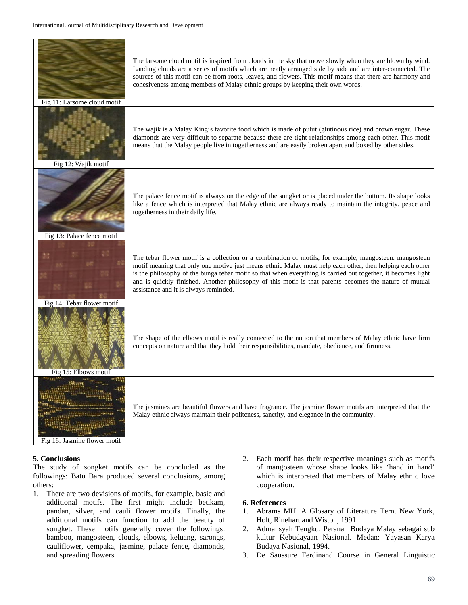| Fig 11: Larsome cloud motif  | The larsome cloud motif is inspired from clouds in the sky that move slowly when they are blown by wind.<br>Landing clouds are a series of motifs which are neatly arranged side by side and are inter-connected. The<br>sources of this motif can be from roots, leaves, and flowers. This motif means that there are harmony and<br>cohesiveness among members of Malay ethnic groups by keeping their own words.                                                                   |
|------------------------------|---------------------------------------------------------------------------------------------------------------------------------------------------------------------------------------------------------------------------------------------------------------------------------------------------------------------------------------------------------------------------------------------------------------------------------------------------------------------------------------|
| Fig 12: Wajik motif          | The wajik is a Malay King's favorite food which is made of pulut (glutinous rice) and brown sugar. These<br>diamonds are very difficult to separate because there are tight relationships among each other. This motif<br>means that the Malay people live in togetherness and are easily broken apart and boxed by other sides.                                                                                                                                                      |
| Fig 13: Palace fence motif   | The palace fence motif is always on the edge of the songket or is placed under the bottom. Its shape looks<br>like a fence which is interpreted that Malay ethnic are always ready to maintain the integrity, peace and<br>togetherness in their daily life.                                                                                                                                                                                                                          |
| Fig 14: Tebar flower motif   | The tebar flower motif is a collection or a combination of motifs, for example, mangosteen. mangosteen<br>motif meaning that only one motive just means ethnic Malay must help each other, then helping each other<br>is the philosophy of the bunga tebar motif so that when everything is carried out together, it becomes light<br>and is quickly finished. Another philosophy of this motif is that parents becomes the nature of mutual<br>assistance and it is always reminded. |
| Fig 15: Elbows motif         | The shape of the elbows motif is really connected to the notion that members of Malay ethnic have firm<br>concepts on nature and that they hold their responsibilities, mandate, obedience, and firmness.                                                                                                                                                                                                                                                                             |
| Fig 16: Jasmine flower motif | The jasmines are beautiful flowers and have fragrance. The jasmine flower motifs are interpreted that the<br>Malay ethnic always maintain their politeness, sanctity, and elegance in the community.                                                                                                                                                                                                                                                                                  |

## **5. Conclusions**

The study of songket motifs can be concluded as the followings: Batu Bara produced several conclusions, among others:

- 1. There are two devisions of motifs, for example, basic and additional motifs. The first might include betikam, pandan, silver, and cauli flower motifs. Finally, the additional motifs can function to add the beauty of songket. These motifs generally cover the followings: bamboo, mangosteen, clouds, elbows, keluang, sarongs, cauliflower, cempaka, jasmine, palace fence, diamonds, and spreading flowers.
- 2. Each motif has their respective meanings such as motifs of mangosteen whose shape looks like 'hand in hand' which is interpreted that members of Malay ethnic love cooperation.

## **6. References**

- 1. Abrams MH. A Glosary of Literature Tern. New York, Holt, Rinehart and Wiston, 1991.
- 2. Admansyah Tengku. Peranan Budaya Malay sebagai sub kultur Kebudayaan Nasional. Medan: Yayasan Karya Budaya Nasional, 1994.
- 3. De Saussure Ferdinand Course in General Linguistic